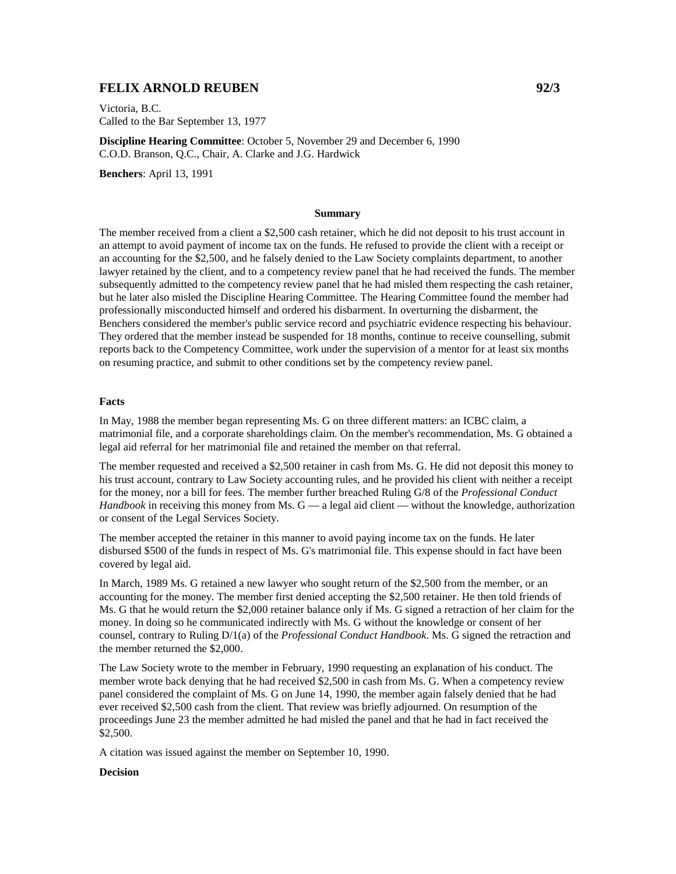# **FELIX ARNOLD REUBEN** 92/3

Victoria, B.C. Called to the Bar September 13, 1977

**Discipline Hearing Committee**: October 5, November 29 and December 6, 1990 C.O.D. Branson, Q.C., Chair, A. Clarke and J.G. Hardwick

**Benchers**: April 13, 1991

#### **Summary**

The member received from a client a \$2,500 cash retainer, which he did not deposit to his trust account in an attempt to avoid payment of income tax on the funds. He refused to provide the client with a receipt or an accounting for the \$2,500, and he falsely denied to the Law Society complaints department, to another lawyer retained by the client, and to a competency review panel that he had received the funds. The member subsequently admitted to the competency review panel that he had misled them respecting the cash retainer, but he later also misled the Discipline Hearing Committee. The Hearing Committee found the member had professionally misconducted himself and ordered his disbarment. In overturning the disbarment, the Benchers considered the member's public service record and psychiatric evidence respecting his behaviour. They ordered that the member instead be suspended for 18 months, continue to receive counselling, submit reports back to the Competency Committee, work under the supervision of a mentor for at least six months on resuming practice, and submit to other conditions set by the competency review panel.

#### **Facts**

In May, 1988 the member began representing Ms. G on three different matters: an ICBC claim, a matrimonial file, and a corporate shareholdings claim. On the member's recommendation, Ms. G obtained a legal aid referral for her matrimonial file and retained the member on that referral.

The member requested and received a \$2,500 retainer in cash from Ms. G. He did not deposit this money to his trust account, contrary to Law Society accounting rules, and he provided his client with neither a receipt for the money, nor a bill for fees. The member further breached Ruling G/8 of the *Professional Conduct Handbook* in receiving this money from Ms.  $G - a$  legal aid client — without the knowledge, authorization or consent of the Legal Services Society.

The member accepted the retainer in this manner to avoid paying income tax on the funds. He later disbursed \$500 of the funds in respect of Ms. G's matrimonial file. This expense should in fact have been covered by legal aid.

In March, 1989 Ms. G retained a new lawyer who sought return of the \$2,500 from the member, or an accounting for the money. The member first denied accepting the \$2,500 retainer. He then told friends of Ms. G that he would return the \$2,000 retainer balance only if Ms. G signed a retraction of her claim for the money. In doing so he communicated indirectly with Ms. G without the knowledge or consent of her counsel, contrary to Ruling D/1(a) of the *Professional Conduct Handbook*. Ms. G signed the retraction and the member returned the \$2,000.

The Law Society wrote to the member in February, 1990 requesting an explanation of his conduct. The member wrote back denying that he had received \$2,500 in cash from Ms. G. When a competency review panel considered the complaint of Ms. G on June 14, 1990, the member again falsely denied that he had ever received \$2,500 cash from the client. That review was briefly adjourned. On resumption of the proceedings June 23 the member admitted he had misled the panel and that he had in fact received the \$2,500.

A citation was issued against the member on September 10, 1990.

### **Decision**